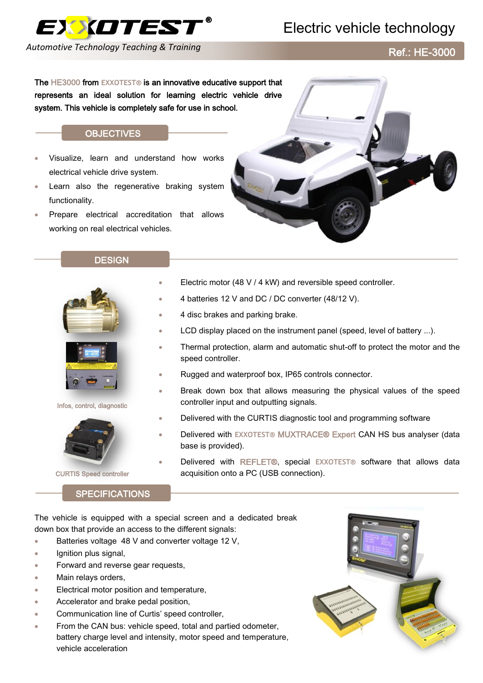

# Electric vehicle technology

*Automotive Technology Teaching & Training*

Ref.: HE-3000

The HE3000 from **EXXOTEST®** is an innovative educative support that represents an ideal solution for learning electric vehicle drive system. This vehicle is completely safe for use in school.

### **OBJECTIVES**

- Visualize, learn and understand how works electrical vehicle drive system.
- Learn also the regenerative braking system functionality.
- Prepare electrical accreditation that allows working on real electrical vehicles.

#### **DESIGN**



Infos, control, diagnostic



CURTIS Speed controller

## **SPECIFICATIONS**

- Electric motor (48 V / 4 kW) and reversible speed controller.
- 4 batteries 12 V and DC / DC converter (48/12 V).
- 4 disc brakes and parking brake.
- LCD display placed on the instrument panel (speed, level of battery ...).
- Thermal protection, alarm and automatic shut-off to protect the motor and the speed controller.
- Rugged and waterproof box, IP65 controls connector.
- Break down box that allows measuring the physical values of the speed controller input and outputting signals.
- Delivered with the CURTIS diagnostic tool and programming software
- Delivered with **EXXOTEST®** MUXTRACE® Expert CAN HS bus analyser (data base is provided).
- Delivered with REFLET®, special **EXXOTEST®** software that allows data acquisition onto a PC (USB connection).

The vehicle is equipped with a special screen and a dedicated break down box that provide an access to the different signals:

- Batteries voltage 48 V and converter voltage 12 V,
- Ignition plus signal,
- **Forward and reverse gear requests.**
- Main relays orders,
- Electrical motor position and temperature,
- Accelerator and brake pedal position,
- Communication line of Curtis' speed controller,
- From the CAN bus: vehicle speed, total and partied odometer, battery charge level and intensity, motor speed and temperature, vehicle acceleration

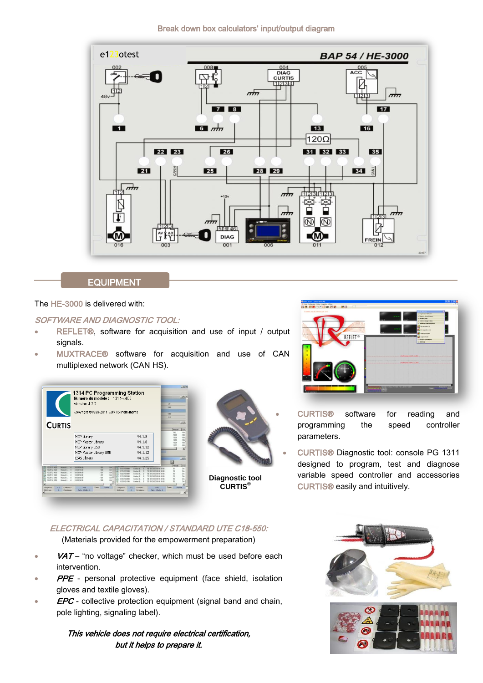Break down box calculators' input/output diagram



# **EQUIPMENT**

The HE-3000 is delivered with:

## SOFTWARE AND DIAGNOSTIC TOOL:

- REFLET®, software for acquisition and use of input / output signals.
- MUXTRACE® software for acquisition and use of CAN multiplexed network (CAN HS).







- CURTIS® software for reading and programming the speed controller parameters.
- CURTIS® Diagnostic tool: console PG 1311 designed to program, test and diagnose variable speed controller and accessories CURTIS® easily and intuitively.

## ELECTRICAL CAPACITATION / STANDARD UTE C18-550:

(Materials provided for the empowerment preparation)

- VAT "no voltage" checker, which must be used before each intervention.
- PPE personal protective equipment (face shield, isolation gloves and textile gloves).
- **EPC** collective protection equipment (signal band and chain, pole lighting, signaling label).

## This vehicle does not require electrical certification, but it helps to prepare it.